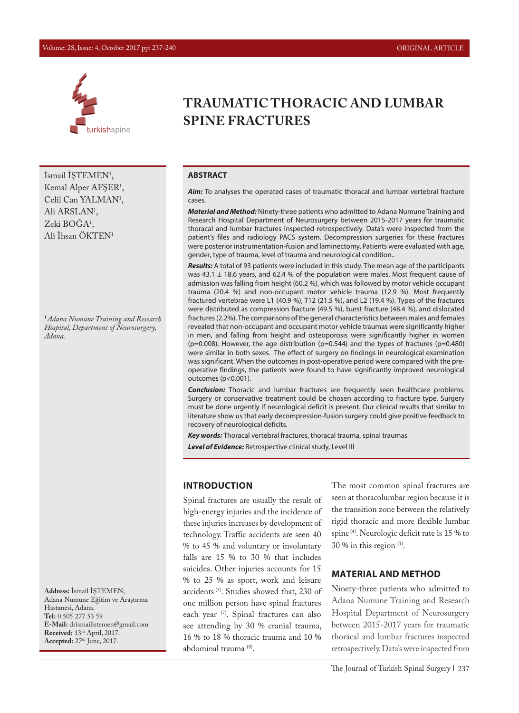#### Volume: 28, Issue: 4, October 2017 pp: 237-240 ORIGINAL ARTICLE



 $\text{Ismail I}\$  $\text{I'EMEM}$ <sup>1</sup>, Kemal Alper AFŞER1 , Celil Can YALMAN<sup>1</sup>, Ali ARSLAN<sup>1</sup>, Zeki BOGA<sup>1</sup>, Ali İhsan ÖKTEN1

**<sup>1</sup>***Adana Numune Training and Research Hospital, Department of Neurosurgery, Adana.*

**Address:** İsmail İŞTEMEN, Adana Numune Eğitim ve Araştırma Hastanesi, Adana. **Tel:** 0 505 277 53 59 **E-Mail:** drismailistemen@gmail.com **Received:** 13th April, 2017. **Accepted:** 27th June, 2017.

# **TRAUMATIC THORACIC AND LUMBAR SPINE FRACTURES**

#### **ABSTRACT**

Aim: To analyses the operated cases of traumatic thoracal and lumbar vertebral fracture cases.

*Material and Method:* Ninety-three patients who admitted to Adana Numune Training and Research Hospital Department of Neurosurgery between 2015-2017 years for traumatic thoracal and lumbar fractures inspected retrospectively. Data's were inspected from the patient's files and radiology PACS system. Decompression surgeries for these fractures were posterior instrumentation-fusion and laminectomy. Patients were evaluated with age, gender, type of trauma, level of trauma and neurological condition..

*Results:* A total of 93 patients were included in this study. The mean age of the participants was 43.1  $\pm$  18.6 years, and 62.4 % of the population were males. Most frequent cause of admission was falling from height (60.2 %), which was followed by motor vehicle occupant trauma (20.4 %) and non-occupant motor vehicle trauma (12.9 %). Most frequently fractured vertebrae were L1 (40.9 %), T12 (21.5 %), and L2 (19.4 %). Types of the fractures were distributed as compression fracture (49.5 %), burst fracture (48.4 %), and dislocated fractures (2.2%). The comparisons of the general characteristics between males and females revealed that non-occupant and occupant motor vehicle traumas were significantly higher in men, and falling from height and osteoporosis were significantly higher in women ( $p=0.008$ ). However, the age distribution ( $p=0.544$ ) and the types of fractures ( $p=0.480$ ) were similar in both sexes. The effect of surgery on findings in neurological examination was significant. When the outcomes in post-operative period were compared with the preoperative findings, the patients were found to have significantly improved neurological outcomes (p<0.001).

*Conclusion:* Thoracic and lumbar fractures are frequently seen healthcare problems. Surgery or conservative treatment could be chosen according to fracture type. Surgery must be done urgently if neurological deficit is present. Our clinical results that similar to literature show us that early decompression-fusion surgery could give positive feedback to recovery of neurological deficits.

*Key words:* Thoracal vertebral fractures, thoracal trauma, spinal traumas *Level of Evidence:* Retrospective clinical study, Level III

#### **INTRODUCTION**

Spinal fractures are usually the result of high-energy injuries and the incidence of these injuries increases by development of technology. Traffic accidents are seen 40 % to 45 % and voluntary or involuntary falls are 15 % to 30 % that includes suicides. Other injuries accounts for 15 % to 25 % as sport, work and leisure accidents (5). Studies showed that, 230 of one million person have spinal fractures each year (7). Spinal fractures can also see attending by 30 % cranial trauma, 16 % to 18 % thoracic trauma and 10 % abdominal trauma (8).

The most common spinal fractures are seen at thoracolumbar region because it is the transition zone between the relatively rigid thoracic and more flexible lumbar spine (4). Neurologic deficit rate is 15 % to 30 % in this region (1).

#### **MATERIAL AND METHOD**

Ninety-three patients who admitted to Adana Numune Training and Research Hospital Department of Neurosurgery between 2015-2017 years for traumatic thoracal and lumbar fractures inspected retrospectively. Data's were inspected from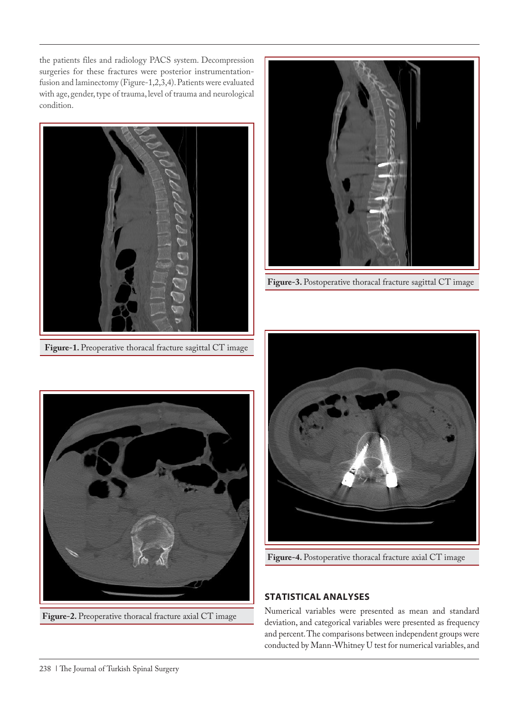the patients files and radiology PACS system. Decompression surgeries for these fractures were posterior instrumentationfusion and laminectomy (Figure-1,2,3,4). Patients were evaluated with age, gender, type of trauma, level of trauma and neurological condition.



**Figure-1.** Preoperative thoracal fracture sagittal CT image



**Figure-2.** Preoperative thoracal fracture axial CT image



**Figure-3.** Postoperative thoracal fracture sagittal CT image



**Figure-4.** Postoperative thoracal fracture axial CT image

# **STATISTICAL ANALYSES**

Numerical variables were presented as mean and standard deviation, and categorical variables were presented as frequency and percent. The comparisons between independent groups were conducted by Mann-Whitney U test for numerical variables, and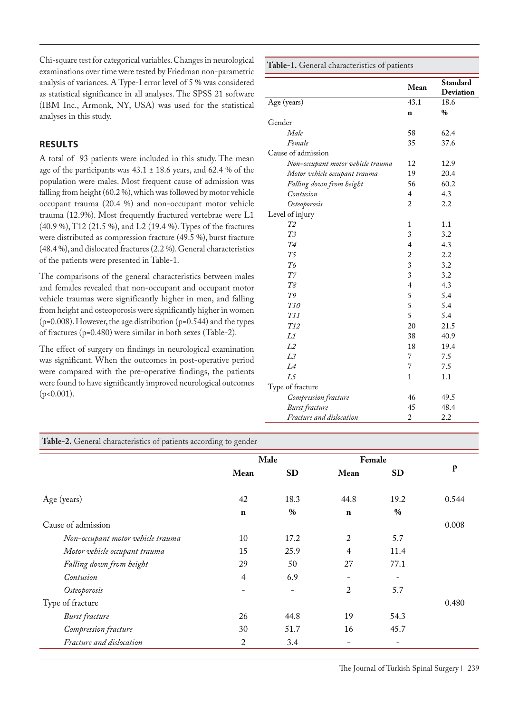Chi-square test for categorical variables. Changes in neurological examinations over time were tested by Friedman non-parametric analysis of variances. A Type-I error level of 5 % was considered as statistical significance in all analyses. The SPSS 21 software (IBM Inc., Armonk, NY, USA) was used for the statistical analyses in this study.

### **RESULTS**

A total of 93 patients were included in this study. The mean age of the participants was  $43.1 \pm 18.6$  years, and  $62.4$  % of the population were males. Most frequent cause of admission was falling from height (60.2 %), which was followed by motor vehicle occupant trauma (20.4 %) and non-occupant motor vehicle trauma (12.9%). Most frequently fractured vertebrae were L1 (40.9 %), T12 (21.5 %), and L2 (19.4 %). Types of the fractures were distributed as compression fracture (49.5 %), burst fracture (48.4 %), and dislocated fractures (2.2 %). General characteristics of the patients were presented in Table-1.

The comparisons of the general characteristics between males and females revealed that non-occupant and occupant motor vehicle traumas were significantly higher in men, and falling from height and osteoporosis were significantly higher in women (p=0.008). However, the age distribution (p=0.544) and the types of fractures (p=0.480) were similar in both sexes (Table-2).

The effect of surgery on findings in neurological examination was significant. When the outcomes in post-operative period were compared with the pre-operative findings, the patients were found to have significantly improved neurological outcomes (p<0.001).

**Table-1.** General characteristics of patients **Mean Standard Deviation** Age (years) 43.1 18.6<br> **n** % **n %** Gender *Male* 58 62.4 *Female* 35 37.6 Cause of admission *Non-occupant motor vehicle trauma* 12 12.9 *Motor vehicle occupant trauma* 19 20.4<br>*Falling down from height* 56 60.2 *Falling down from height* 56 60.<br> *Contusion* 4 4.3 *Contusion* 4 4.3<br>Osteoporosis 2 2.2 *Osteoporosis* 2 2.2 Level of injury  $T2$ *T2* 1 1.1 *I3*  $3 \t 3.2$ *T4* 4 4.3 *T5* 2 2.2 *T6* 3 3.2 *T7* 3 3.2 *T8* 4 4.3 *T9* 5 5.4 *T10* 5 5.4 *T11* 5 5.4 *T12* 20 21.5 *L1* 38 40.9 *L2* 18 19.4 *L3* 7 7.5 *L4* 7 7.5 *L5* 1 1.1 Type of fracture *Compression fracture* 46 49.5<br> *Burst fracture* 45 48.4 *Burst fracture* 45 48.<br>*Fracture and dislocation* 2 2.2 *Fracture and dislocation* 

**Table-2.** General characteristics of patients according to gender

|                                   | Male           |                   | Female         |           |             |
|-----------------------------------|----------------|-------------------|----------------|-----------|-------------|
|                                   | Mean           | <b>SD</b>         | Mean           | <b>SD</b> | $\mathbf p$ |
| Age (years)                       | 42             | 18.3              | 44.8           | 19.2      | 0.544       |
|                                   | $\mathbf n$    | $\%$              | $\mathbf n$    | $\%$      |             |
| Cause of admission                |                |                   |                |           | 0.008       |
| Non-occupant motor vehicle trauma | 10             | 17.2              | 2              | 5.7       |             |
| Motor vehicle occupant trauma     | 15             | 25.9              | 4              | 11.4      |             |
| Falling down from height          | 29             | 50                | 27             | 77.1      |             |
| Contusion                         | 4              | 6.9               | ۰              |           |             |
| Osteoporosis                      |                | $\qquad \qquad -$ | $\overline{2}$ | 5.7       |             |
| Type of fracture                  |                |                   |                |           | 0.480       |
| <b>Burst</b> fracture             | 26             | 44.8              | 19             | 54.3      |             |
| Compression fracture              | 30             | 51.7              | 16             | 45.7      |             |
| Fracture and dislocation          | $\overline{2}$ | 3.4               | ۰              |           |             |